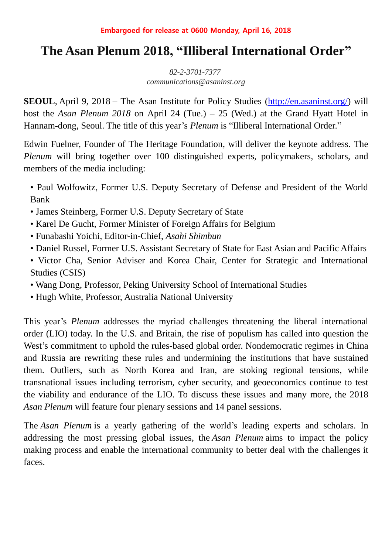# **The Asan Plenum 2018, "Illiberal International Order"**

*82-2-3701-7377 communications@asaninst.org*

**SEOUL**, April 9, 2018 – The Asan Institute for Policy Studies [\(http://en.asaninst.org/\)](http://en.asaninst.org/) will host the *Asan Plenum 2018* on April 24 (Tue.) – 25 (Wed.) at the Grand Hyatt Hotel in Hannam-dong, Seoul. The title of this year's *Plenum* is "Illiberal International Order."

Edwin Fuelner, Founder of The Heritage Foundation, will deliver the keynote address. The *Plenum* will bring together over 100 distinguished experts, policymakers, scholars, and members of the media including:

• Paul Wolfowitz, Former U.S. Deputy Secretary of Defense and President of the World Bank

- James Steinberg, Former U.S. Deputy Secretary of State
- Karel De Gucht, Former Minister of Foreign Affairs for Belgium
- Funabashi Yoichi, Editor-in-Chief, *Asahi Shimbun*
- Daniel Russel, Former U.S. Assistant Secretary of State for East Asian and Pacific Affairs
- Victor Cha, Senior Adviser and Korea Chair, Center for Strategic and International Studies (CSIS)
- Wang Dong, Professor, Peking University School of International Studies
- Hugh White, Professor, Australia National University

This year's *Plenum* addresses the myriad challenges threatening the liberal international order (LIO) today. In the U.S. and Britain, the rise of populism has called into question the West's commitment to uphold the rules-based global order. Nondemocratic regimes in China and Russia are rewriting these rules and undermining the institutions that have sustained them. Outliers, such as North Korea and Iran, are stoking regional tensions, while transnational issues including terrorism, cyber security, and geoeconomics continue to test the viability and endurance of the LIO. To discuss these issues and many more, the 2018 *Asan Plenum* will feature four plenary sessions and 14 panel sessions.

The *Asan Plenum* is a yearly gathering of the world's leading experts and scholars. In addressing the most pressing global issues, the *Asan Plenum* aims to impact the policy making process and enable the international community to better deal with the challenges it faces.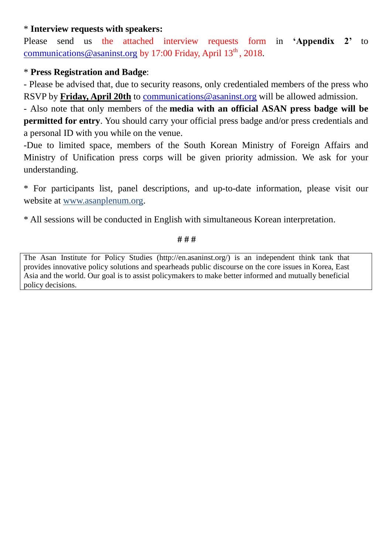## \* **Interview requests with speakers:**

Please send us the attached interview requests form in **'Appendix 2'** to [communications@asaninst.org](mailto:communications@asaninst.org) by 17:00 Friday, April 13<sup>th</sup>, 2018.

## \* **Press Registration and Badge**:

- Please be advised that, due to security reasons, only credentialed members of the press who RSVP by **Friday, April 20th** to [communications@asaninst.org](mailto:communications@asaninst.org) will be allowed admission.

- Also note that only members of the **media with an official ASAN press badge will be permitted for entry**. You should carry your official press badge and/or press credentials and a personal ID with you while on the venue.

-Due to limited space, members of the South Korean Ministry of Foreign Affairs and Ministry of Unification press corps will be given priority admission. We ask for your understanding.

\* For participants list, panel descriptions, and up-to-date information, please visit our website at [www.asanplenum.org.](http://www.asanplenum.org/)

\* All sessions will be conducted in English with simultaneous Korean interpretation.

**# # #**

The Asan Institute for Policy Studies (http://en.asaninst.org/) is an independent think tank that provides innovative policy solutions and spearheads public discourse on the core issues in Korea, East Asia and the world. Our goal is to assist policymakers to make better informed and mutually beneficial policy decisions.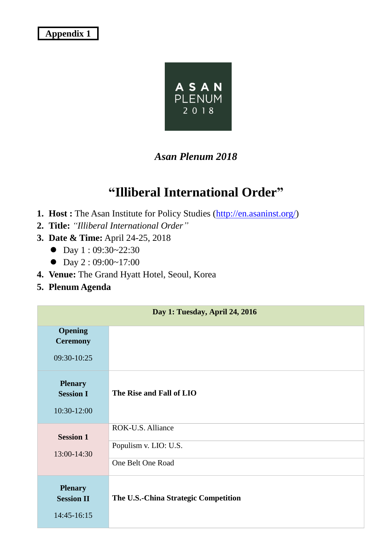## **Appendix 1**



## *Asan Plenum 2018*

## **"Illiberal International Order"**

- **1. Host :** The Asan Institute for Policy Studies [\(http://en.asaninst.org/\)](http://en.asaninst.org/)
- **2. Title:** *"Illiberal International Order"*
- **3. Date & Time:** April 24-25, 2018
	- $\bullet$  Day 1:09:30~22:30
	- $\bullet$  Day 2:09:00~17:00
- **4. Venue:** The Grand Hyatt Hotel, Seoul, Korea
- **5. Plenum Agenda**

| Day 1: Tuesday, April 24, 2016                     |                                                                 |  |  |  |  |
|----------------------------------------------------|-----------------------------------------------------------------|--|--|--|--|
| <b>Opening</b><br><b>Ceremony</b><br>09:30-10:25   |                                                                 |  |  |  |  |
| <b>Plenary</b><br><b>Session I</b><br>10:30-12:00  | The Rise and Fall of LIO                                        |  |  |  |  |
| <b>Session 1</b><br>13:00-14:30                    | ROK-U.S. Alliance<br>Populism v. LIO: U.S.<br>One Belt One Road |  |  |  |  |
| <b>Plenary</b><br><b>Session II</b><br>14:45-16:15 | The U.S.-China Strategic Competition                            |  |  |  |  |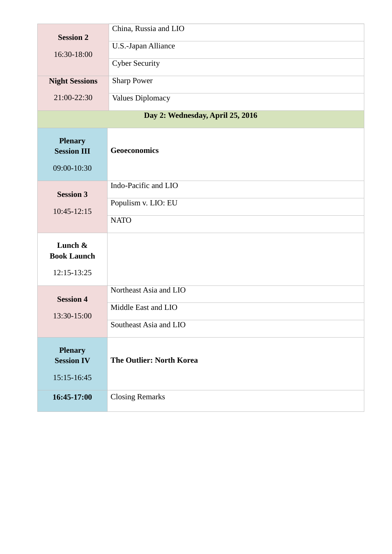| <b>Session 2</b><br>16:30-18:00      | China, Russia and LIO           |  |  |  |  |  |  |  |
|--------------------------------------|---------------------------------|--|--|--|--|--|--|--|
|                                      | U.S.-Japan Alliance             |  |  |  |  |  |  |  |
|                                      | <b>Cyber Security</b>           |  |  |  |  |  |  |  |
| <b>Night Sessions</b>                | <b>Sharp Power</b>              |  |  |  |  |  |  |  |
| 21:00-22:30                          | <b>Values Diplomacy</b>         |  |  |  |  |  |  |  |
| Day 2: Wednesday, April 25, 2016     |                                 |  |  |  |  |  |  |  |
| <b>Plenary</b><br><b>Session III</b> | <b>Geoeconomics</b>             |  |  |  |  |  |  |  |
| 09:00-10:30                          |                                 |  |  |  |  |  |  |  |
| <b>Session 3</b><br>$10:45 - 12:15$  | Indo-Pacific and LIO            |  |  |  |  |  |  |  |
|                                      | Populism v. LIO: EU             |  |  |  |  |  |  |  |
|                                      | <b>NATO</b>                     |  |  |  |  |  |  |  |
| Lunch &                              |                                 |  |  |  |  |  |  |  |
| <b>Book Launch</b>                   |                                 |  |  |  |  |  |  |  |
| 12:15-13:25                          |                                 |  |  |  |  |  |  |  |
| <b>Session 4</b>                     | Northeast Asia and LIO          |  |  |  |  |  |  |  |
| 13:30-15:00                          | Middle East and LIO             |  |  |  |  |  |  |  |
|                                      | Southeast Asia and LIO          |  |  |  |  |  |  |  |
| <b>Plenary</b>                       |                                 |  |  |  |  |  |  |  |
| <b>Session IV</b>                    | <b>The Outlier: North Korea</b> |  |  |  |  |  |  |  |
| 15:15-16:45                          |                                 |  |  |  |  |  |  |  |
| 16:45-17:00                          | <b>Closing Remarks</b>          |  |  |  |  |  |  |  |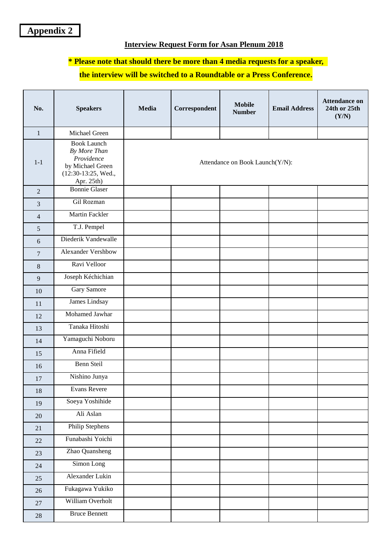#### **Interview Request Form for Asan Plenum 2018**

#### **\* Please note that should there be more than 4 media requests for a speaker,**

#### **the interview will be switched to a Roundtable or a Press Conference**.

| No.              | <b>Speakers</b>                                                                                           | <b>Media</b>                    | Correspondent | <b>Mobile</b><br><b>Number</b> | <b>Email Address</b> | <b>Attendance on</b><br>24th or 25th<br>(Y/N) |
|------------------|-----------------------------------------------------------------------------------------------------------|---------------------------------|---------------|--------------------------------|----------------------|-----------------------------------------------|
| $\mathbf{1}$     | Michael Green                                                                                             |                                 |               |                                |                      |                                               |
| $1-1$            | <b>Book Launch</b><br>By More Than<br>Providence<br>by Michael Green<br>(12:30-13:25, Wed.,<br>Apr. 25th) | Attendance on Book Launch(Y/N): |               |                                |                      |                                               |
| $\overline{2}$   | <b>Bonnie Glaser</b>                                                                                      |                                 |               |                                |                      |                                               |
| $\overline{3}$   | Gil Rozman                                                                                                |                                 |               |                                |                      |                                               |
| $\overline{4}$   | Martin Fackler                                                                                            |                                 |               |                                |                      |                                               |
| 5                | T.J. Pempel                                                                                               |                                 |               |                                |                      |                                               |
| 6                | Diederik Vandewalle                                                                                       |                                 |               |                                |                      |                                               |
| $\boldsymbol{7}$ | <b>Alexander Vershbow</b>                                                                                 |                                 |               |                                |                      |                                               |
| $\,8\,$          | Ravi Velloor                                                                                              |                                 |               |                                |                      |                                               |
| 9                | Joseph Kéchichian                                                                                         |                                 |               |                                |                      |                                               |
| 10               | Gary Samore                                                                                               |                                 |               |                                |                      |                                               |
| 11               | James Lindsay                                                                                             |                                 |               |                                |                      |                                               |
| 12               | Mohamed Jawhar                                                                                            |                                 |               |                                |                      |                                               |
| 13               | Tanaka Hitoshi                                                                                            |                                 |               |                                |                      |                                               |
| 14               | Yamaguchi Noboru                                                                                          |                                 |               |                                |                      |                                               |
| 15               | Anna Fifield                                                                                              |                                 |               |                                |                      |                                               |
| 16               | Benn Steil                                                                                                |                                 |               |                                |                      |                                               |
| 17               | Nishino Junya                                                                                             |                                 |               |                                |                      |                                               |
| 18               | Evans Revere                                                                                              |                                 |               |                                |                      |                                               |
| 19               | Soeya Yoshihide                                                                                           |                                 |               |                                |                      |                                               |
| 20               | Ali Aslan                                                                                                 |                                 |               |                                |                      |                                               |
| 21               | Philip Stephens                                                                                           |                                 |               |                                |                      |                                               |
| $22\,$           | Funabashi Yoichi                                                                                          |                                 |               |                                |                      |                                               |
| 23               | Zhao Quansheng                                                                                            |                                 |               |                                |                      |                                               |
| 24               | Simon Long                                                                                                |                                 |               |                                |                      |                                               |
| 25               | Alexander Lukin                                                                                           |                                 |               |                                |                      |                                               |
| 26               | Fukagawa Yukiko                                                                                           |                                 |               |                                |                      |                                               |
| 27               | William Overholt                                                                                          |                                 |               |                                |                      |                                               |
| $28\,$           | <b>Bruce Bennett</b>                                                                                      |                                 |               |                                |                      |                                               |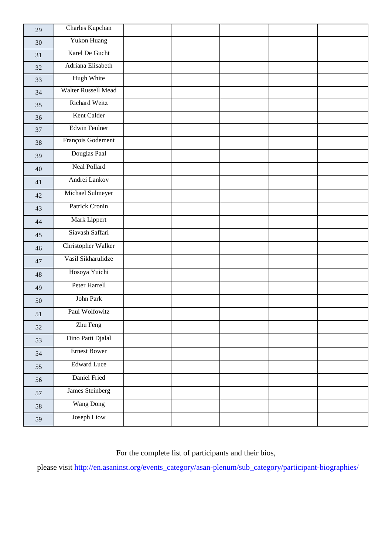| 29 | Charles Kupchan      |  |  |  |
|----|----------------------|--|--|--|
| 30 | Yukon Huang          |  |  |  |
| 31 | Karel De Gucht       |  |  |  |
| 32 | Adriana Elisabeth    |  |  |  |
| 33 | Hugh White           |  |  |  |
| 34 | Walter Russell Mead  |  |  |  |
| 35 | Richard Weitz        |  |  |  |
| 36 | Kent Calder          |  |  |  |
| 37 | <b>Edwin Feulner</b> |  |  |  |
| 38 | François Godement    |  |  |  |
| 39 | Douglas Paal         |  |  |  |
| 40 | Neal Pollard         |  |  |  |
| 41 | Andrei Lankov        |  |  |  |
| 42 | Michael Sulmeyer     |  |  |  |
| 43 | Patrick Cronin       |  |  |  |
| 44 | Mark Lippert         |  |  |  |
| 45 | Siavash Saffari      |  |  |  |
| 46 | Christopher Walker   |  |  |  |
| 47 | Vasil Sikharulidze   |  |  |  |
| 48 | Hosoya Yuichi        |  |  |  |
| 49 | Peter Harrell        |  |  |  |
| 50 | John Park            |  |  |  |
| 51 | Paul Wolfowitz       |  |  |  |
| 52 | Zhu Feng             |  |  |  |
| 53 | Dino Patti Djalal    |  |  |  |
| 54 | <b>Ernest Bower</b>  |  |  |  |
| 55 | <b>Edward Luce</b>   |  |  |  |
| 56 | Daniel Fried         |  |  |  |
| 57 | James Steinberg      |  |  |  |
| 58 | <b>Wang Dong</b>     |  |  |  |
| 59 | Joseph Liow          |  |  |  |

For the complete list of participants and their bios,

please visit [http://en.asaninst.org/events\\_category/asan-plenum/sub\\_category/participant-biographies/](http://en.asaninst.org/events_category/asan-plenum/sub_category/participant-biographies/)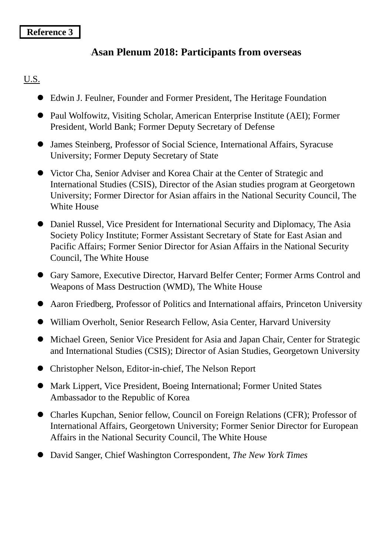## **Reference 3**

## **'Asan Plenum 2018: Participants from overseas**

## U.S.

- Edwin J. Feulner, Founder and Former President, The Heritage Foundation
- Paul Wolfowitz, Visiting Scholar, American Enterprise Institute (AEI); Former President, World Bank; Former Deputy Secretary of Defense
- James Steinberg, Professor of Social Science, International Affairs, Syracuse University; Former Deputy Secretary of State
- Victor Cha, Senior Adviser and Korea Chair at the Center of Strategic and International Studies (CSIS), Director of the Asian studies program at Georgetown University; Former Director for Asian affairs in the National Security Council, The White House
- Daniel Russel, Vice President for International Security and Diplomacy, The Asia Society Policy Institute; Former Assistant Secretary of State for East Asian and Pacific Affairs; Former Senior Director for Asian Affairs in the National Security Council, The White House
- Gary Samore, Executive Director, Harvard Belfer Center; Former Arms Control and Weapons of Mass Destruction (WMD), The White House
- Aaron Friedberg, Professor of Politics and International affairs, Princeton University
- William Overholt, Senior Research Fellow, Asia Center, Harvard University
- Michael Green, Senior Vice President for Asia and Japan Chair, Center for Strategic and International Studies (CSIS); Director of Asian Studies, Georgetown University
- Christopher Nelson, Editor-in-chief, The Nelson Report
- Mark Lippert, Vice President, Boeing International; Former United States Ambassador to the Republic of Korea
- Charles Kupchan, Senior fellow, Council on Foreign Relations (CFR); Professor of International Affairs, Georgetown University; Former Senior Director for European Affairs in the National Security Council, The White House
- David Sanger, Chief Washington Correspondent, *The New York Times*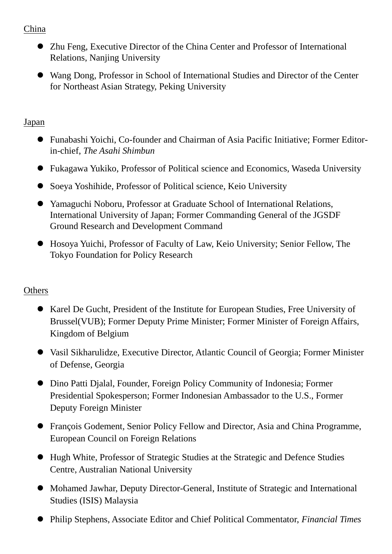## China

- Zhu Feng, Executive Director of the China Center and Professor of International Relations, Nanjing University
- Wang Dong, Professor in School of International Studies and Director of the Center for Northeast Asian Strategy, Peking University

## Japan

- Funabashi Yoichi, Co-founder and Chairman of Asia Pacific Initiative; Former Editorin-chief, *The Asahi Shimbun*
- Fukagawa Yukiko, Professor of Political science and Economics, Waseda University
- Soeya Yoshihide, Professor of Political science, Keio University
- Yamaguchi Noboru, Professor at Graduate School of International Relations, International University of Japan; Former Commanding General of the JGSDF Ground Research and Development Command
- Hosoya Yuichi, Professor of Faculty of Law, Keio University; Senior Fellow, The Tokyo Foundation for Policy Research

## **Others**

- Karel De Gucht, President of the Institute for European Studies, Free University of Brussel(VUB); Former Deputy Prime Minister; Former Minister of Foreign Affairs, Kingdom of Belgium
- Vasil Sikharulidze, Executive Director, Atlantic Council of Georgia; Former Minister of Defense, Georgia
- Dino Patti Djalal, Founder, Foreign Policy Community of Indonesia; Former Presidential Spokesperson; Former Indonesian Ambassador to the U.S., Former Deputy Foreign Minister
- François Godement, Senior Policy Fellow and Director, Asia and China Programme, European Council on Foreign Relations
- Hugh White, Professor of Strategic Studies at the Strategic and Defence Studies Centre, Australian National University
- Mohamed Jawhar, Deputy Director-General, Institute of Strategic and International Studies (ISIS) Malaysia
- Philip Stephens, Associate Editor and Chief Political Commentator, *Financial Times*